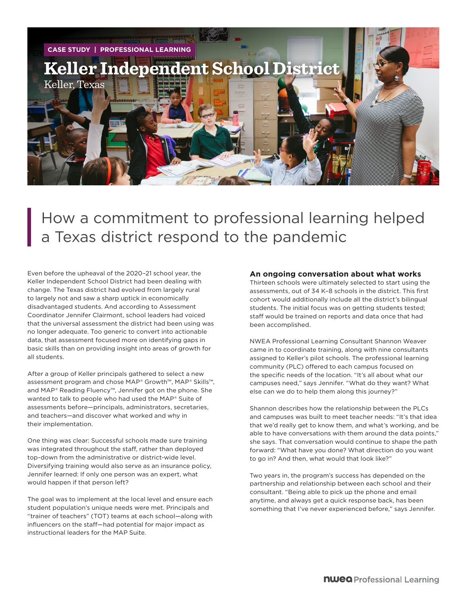

How a commitment to professional learning helped a Texas district respond to the pandemic

Even before the upheaval of the 2020–21 school year, the Keller Independent School District had been dealing with change. The Texas district had evolved from largely rural to largely not and saw a sharp uptick in economically disadvantaged students. And according to Assessment Coordinator Jennifer Clairmont, school leaders had voiced that the universal assessment the district had been using was no longer adequate. Too generic to convert into actionable data, that assessment focused more on identifying gaps in basic skills than on providing insight into areas of growth for all students.

After a group of Keller principals gathered to select a new assessment program and chose MAP® Growth™, MAP® Skills™, and MAP® Reading Fluency™, Jennifer got on the phone. She wanted to talk to people who had used the MAP® Suite of assessments before—principals, administrators, secretaries, and teachers—and discover what worked and why in their implementation.

One thing was clear: Successful schools made sure training was integrated throughout the staff, rather than deployed top-down from the administrative or district-wide level. Diversifying training would also serve as an insurance policy, Jennifer learned: If only one person was an expert, what would happen if that person left?

The goal was to implement at the local level and ensure each student population's unique needs were met. Principals and "trainer of teachers" (TOT) teams at each school—along with influencers on the staff—had potential for major impact as instructional leaders for the MAP Suite.

## **An ongoing conversation about what works**

Thirteen schools were ultimately selected to start using the assessments, out of 34 K–8 schools in the district. This first cohort would additionally include all the district's bilingual students. The initial focus was on getting students tested; staff would be trained on reports and data once that had been accomplished.

NWEA Professional Learning Consultant Shannon Weaver came in to coordinate training, along with nine consultants assigned to Keller's pilot schools. The professional learning community (PLC) offered to each campus focused on the specific needs of the location. "It's all about what our campuses need," says Jennifer. "What do they want? What else can we do to help them along this journey?"

Shannon describes how the relationship between the PLCs and campuses was built to meet teacher needs: "It's that idea that we'd really get to know them, and what's working, and be able to have conversations with them around the data points," she says. That conversation would continue to shape the path forward: "What have you done? What direction do you want to go in? And then, what would that look like?"

Two years in, the program's success has depended on the partnership and relationship between each school and their consultant. "Being able to pick up the phone and email anytime, and always get a quick response back, has been something that I've never experienced before," says Jennifer.